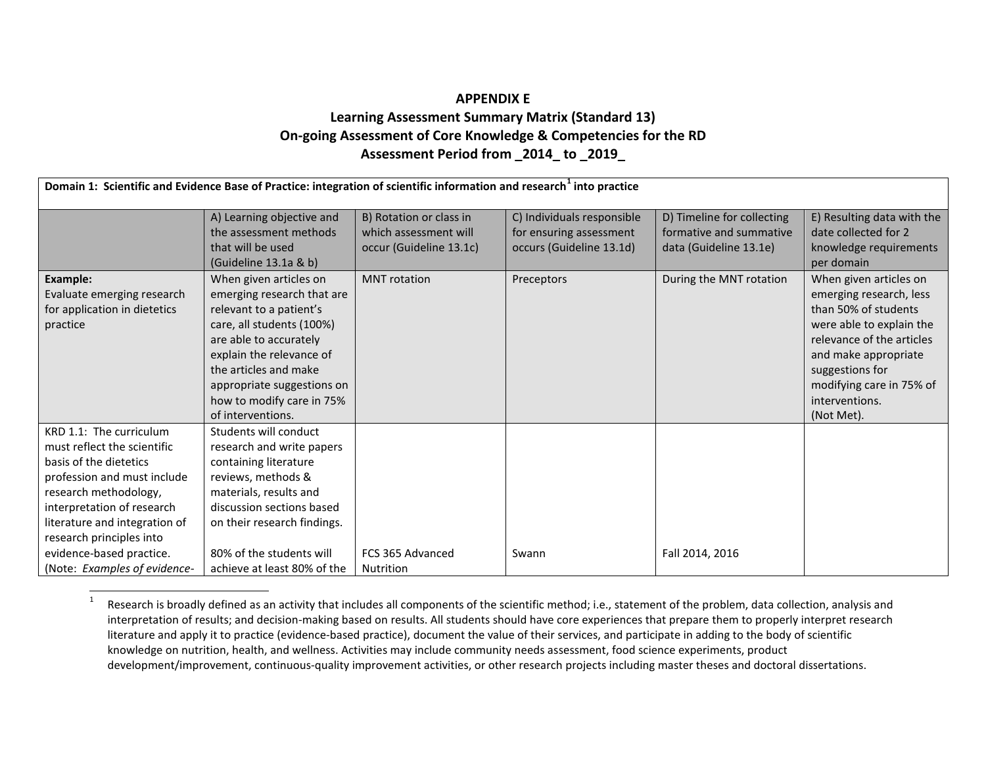## <span id="page-0-0"></span>**APPENDIX E Learning Assessment Summary Matrix (Standard 13) On-going Assessment of Core Knowledge & Competencies for the RD Assessment Period from \_2014\_ to \_2019\_**

| Domain 1: Scientific and Evidence Base of Practice: integration of scientific information and research <sup>1</sup> into practice                                                                                                                                                               |                                                                                                                                                                                                                                                                             |                                                                             |                                                                                   |                                                                                 |                                                                                                                                                                                                                                           |
|-------------------------------------------------------------------------------------------------------------------------------------------------------------------------------------------------------------------------------------------------------------------------------------------------|-----------------------------------------------------------------------------------------------------------------------------------------------------------------------------------------------------------------------------------------------------------------------------|-----------------------------------------------------------------------------|-----------------------------------------------------------------------------------|---------------------------------------------------------------------------------|-------------------------------------------------------------------------------------------------------------------------------------------------------------------------------------------------------------------------------------------|
|                                                                                                                                                                                                                                                                                                 | A) Learning objective and<br>the assessment methods<br>that will be used<br>(Guideline 13.1a & b)                                                                                                                                                                           | B) Rotation or class in<br>which assessment will<br>occur (Guideline 13.1c) | C) Individuals responsible<br>for ensuring assessment<br>occurs (Guideline 13.1d) | D) Timeline for collecting<br>formative and summative<br>data (Guideline 13.1e) | E) Resulting data with the<br>date collected for 2<br>knowledge requirements<br>per domain                                                                                                                                                |
| Example:<br>Evaluate emerging research<br>for application in dietetics<br>practice                                                                                                                                                                                                              | When given articles on<br>emerging research that are<br>relevant to a patient's<br>care, all students (100%)<br>are able to accurately<br>explain the relevance of<br>the articles and make<br>appropriate suggestions on<br>how to modify care in 75%<br>of interventions. | <b>MNT</b> rotation                                                         | Preceptors                                                                        | During the MNT rotation                                                         | When given articles on<br>emerging research, less<br>than 50% of students<br>were able to explain the<br>relevance of the articles<br>and make appropriate<br>suggestions for<br>modifying care in 75% of<br>interventions.<br>(Not Met). |
| KRD 1.1: The curriculum<br>must reflect the scientific<br>basis of the dietetics<br>profession and must include<br>research methodology,<br>interpretation of research<br>literature and integration of<br>research principles into<br>evidence-based practice.<br>(Note: Examples of evidence- | Students will conduct<br>research and write papers<br>containing literature<br>reviews, methods &<br>materials, results and<br>discussion sections based<br>on their research findings.<br>80% of the students will<br>achieve at least 80% of the                          | FCS 365 Advanced<br><b>Nutrition</b>                                        | Swann                                                                             | Fall 2014, 2016                                                                 |                                                                                                                                                                                                                                           |

<sup>&</sup>lt;sup>1</sup> Research is broadly defined as an activity that includes all components of the scientific method; i.e., statement of the problem, data collection, analysis and interpretation of results; and decision-making based on results. All students should have core experiences that prepare them to properly interpret research literature and apply it to practice (evidence-based practice), document the value of their services, and participate in adding to the body of scientific knowledge on nutrition, health, and wellness. Activities may include community needs assessment, food science experiments, product development/improvement, continuous-quality improvement activities, or other research projects including master theses and doctoral dissertations.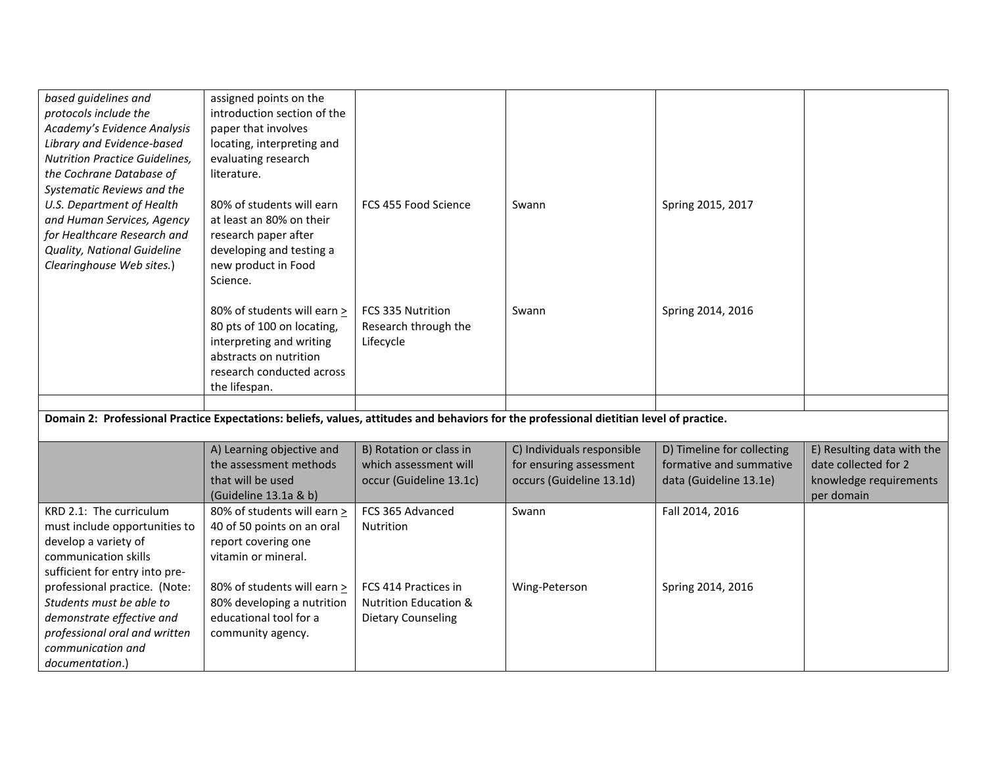| based guidelines and<br>protocols include the<br>Academy's Evidence Analysis<br>Library and Evidence-based<br><b>Nutrition Practice Guidelines,</b><br>the Cochrane Database of  | assigned points on the<br>introduction section of the<br>paper that involves<br>locating, interpreting and<br>evaluating research<br>literature.              |                                                                                |                            |                            |                                      |
|----------------------------------------------------------------------------------------------------------------------------------------------------------------------------------|---------------------------------------------------------------------------------------------------------------------------------------------------------------|--------------------------------------------------------------------------------|----------------------------|----------------------------|--------------------------------------|
| Systematic Reviews and the<br>U.S. Department of Health<br>and Human Services, Agency<br>for Healthcare Research and<br>Quality, National Guideline<br>Clearinghouse Web sites.) | 80% of students will earn<br>at least an 80% on their<br>research paper after<br>developing and testing a<br>new product in Food<br>Science.                  | FCS 455 Food Science                                                           | Swann                      | Spring 2015, 2017          |                                      |
|                                                                                                                                                                                  | 80% of students will earn ><br>80 pts of 100 on locating,<br>interpreting and writing<br>abstracts on nutrition<br>research conducted across<br>the lifespan. | FCS 335 Nutrition<br>Research through the<br>Lifecycle                         | Swann                      | Spring 2014, 2016          |                                      |
|                                                                                                                                                                                  |                                                                                                                                                               |                                                                                |                            |                            |                                      |
| Domain 2: Professional Practice Expectations: beliefs, values, attitudes and behaviors for the professional dietitian level of practice.                                         |                                                                                                                                                               |                                                                                |                            |                            |                                      |
|                                                                                                                                                                                  | A) Learning objective and                                                                                                                                     | B) Rotation or class in                                                        | C) Individuals responsible | D) Timeline for collecting | E) Resulting data with the           |
|                                                                                                                                                                                  | the assessment methods                                                                                                                                        | which assessment will                                                          | for ensuring assessment    | formative and summative    | date collected for 2                 |
|                                                                                                                                                                                  | that will be used<br>(Guideline 13.1a & b)                                                                                                                    | occur (Guideline 13.1c)                                                        | occurs (Guideline 13.1d)   | data (Guideline 13.1e)     | knowledge requirements<br>per domain |
| KRD 2.1: The curriculum<br>must include opportunities to<br>develop a variety of<br>communication skills<br>sufficient for entry into pre-                                       | 80% of students will earn ><br>40 of 50 points on an oral<br>report covering one<br>vitamin or mineral.                                                       | FCS 365 Advanced<br>Nutrition                                                  | Swann                      | Fall 2014, 2016            |                                      |
| professional practice. (Note:<br>Students must be able to<br>demonstrate effective and<br>professional oral and written<br>communication and<br>documentation.)                  | 80% of students will earn ><br>80% developing a nutrition<br>educational tool for a<br>community agency.                                                      | FCS 414 Practices in<br><b>Nutrition Education &amp;</b><br>Dietary Counseling | Wing-Peterson              | Spring 2014, 2016          |                                      |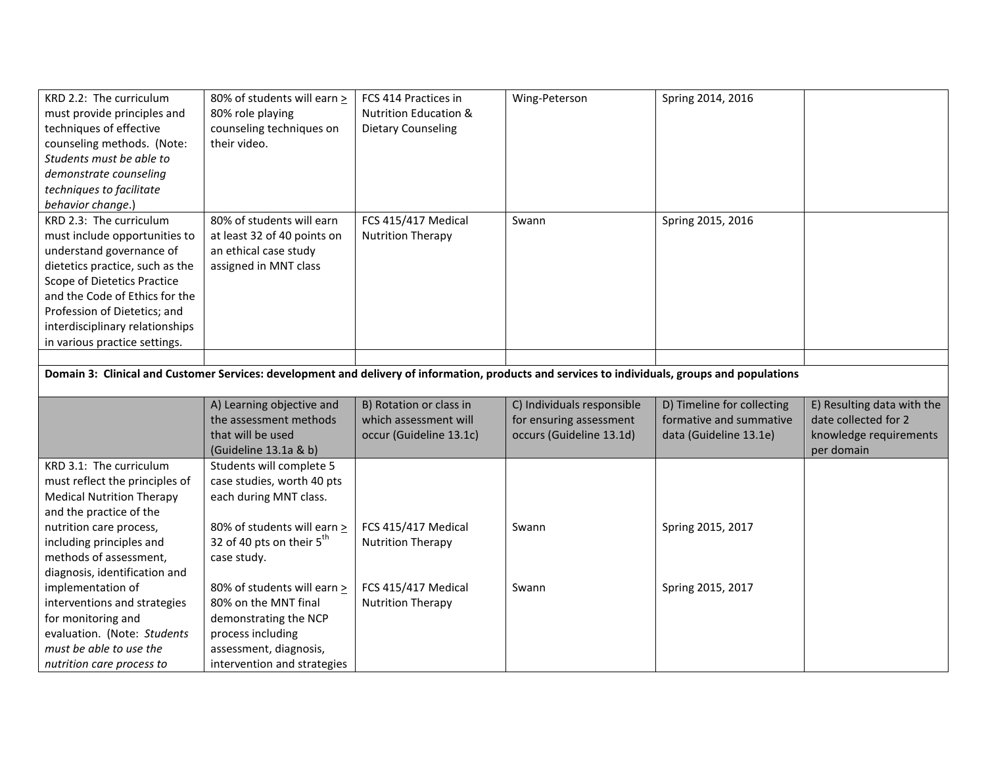| KRD 2.2: The curriculum<br>must provide principles and<br>techniques of effective<br>counseling methods. (Note:<br>Students must be able to<br>demonstrate counseling<br>techniques to facilitate<br>behavior change.)                                                                       | 80% of students will earn ><br>80% role playing<br>counseling techniques on<br>their video.                | FCS 414 Practices in<br><b>Nutrition Education &amp;</b><br>Dietary Counseling | Wing-Peterson                                                                     | Spring 2014, 2016                                                               |                                                                                            |
|----------------------------------------------------------------------------------------------------------------------------------------------------------------------------------------------------------------------------------------------------------------------------------------------|------------------------------------------------------------------------------------------------------------|--------------------------------------------------------------------------------|-----------------------------------------------------------------------------------|---------------------------------------------------------------------------------|--------------------------------------------------------------------------------------------|
| KRD 2.3: The curriculum<br>must include opportunities to<br>understand governance of<br>dietetics practice, such as the<br>Scope of Dietetics Practice<br>and the Code of Ethics for the<br>Profession of Dietetics; and<br>interdisciplinary relationships<br>in various practice settings. | 80% of students will earn<br>at least 32 of 40 points on<br>an ethical case study<br>assigned in MNT class | FCS 415/417 Medical<br><b>Nutrition Therapy</b>                                | Swann                                                                             | Spring 2015, 2016                                                               |                                                                                            |
| Domain 3: Clinical and Customer Services: development and delivery of information, products and services to individuals, groups and populations                                                                                                                                              |                                                                                                            |                                                                                |                                                                                   |                                                                                 |                                                                                            |
|                                                                                                                                                                                                                                                                                              |                                                                                                            |                                                                                |                                                                                   |                                                                                 |                                                                                            |
|                                                                                                                                                                                                                                                                                              | A) Learning objective and<br>the assessment methods<br>that will be used<br>(Guideline 13.1a & b)          | B) Rotation or class in<br>which assessment will<br>occur (Guideline 13.1c)    | C) Individuals responsible<br>for ensuring assessment<br>occurs (Guideline 13.1d) | D) Timeline for collecting<br>formative and summative<br>data (Guideline 13.1e) | E) Resulting data with the<br>date collected for 2<br>knowledge requirements<br>per domain |
| KRD 3.1: The curriculum<br>must reflect the principles of<br><b>Medical Nutrition Therapy</b><br>and the practice of the                                                                                                                                                                     | Students will complete 5<br>case studies, worth 40 pts<br>each during MNT class.                           |                                                                                |                                                                                   |                                                                                 |                                                                                            |
| nutrition care process,<br>including principles and<br>methods of assessment,<br>diagnosis, identification and                                                                                                                                                                               | 80% of students will earn ><br>32 of 40 pts on their $5^{th}$<br>case study.                               | FCS 415/417 Medical<br><b>Nutrition Therapy</b>                                | Swann                                                                             | Spring 2015, 2017                                                               |                                                                                            |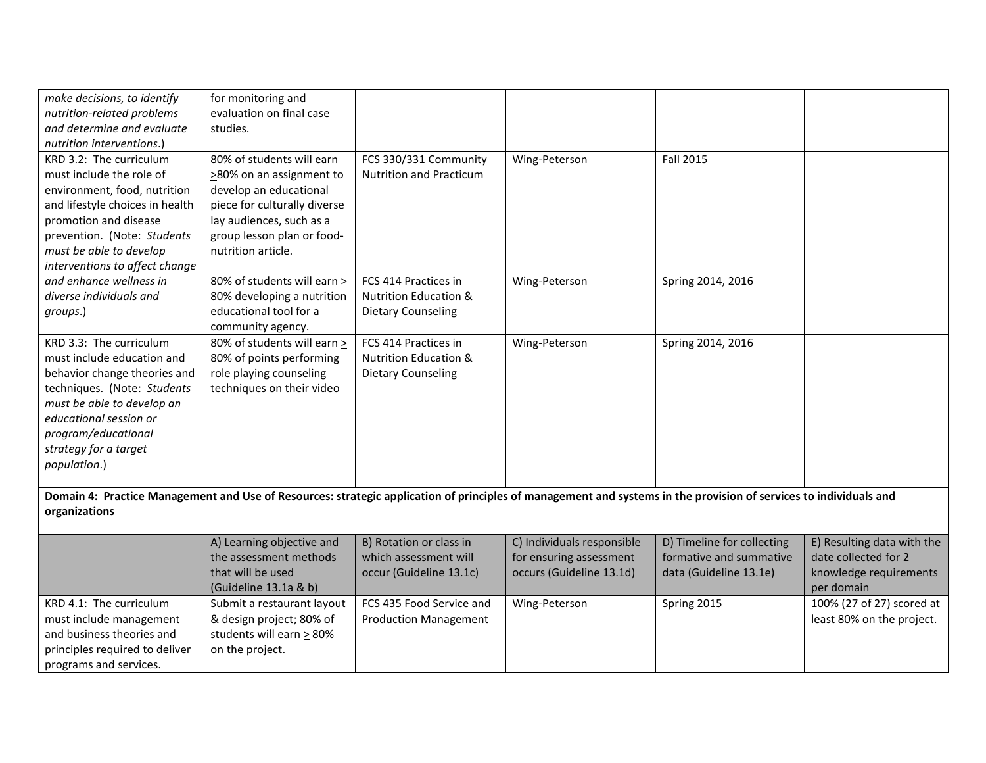| make decisions, to identify                                                                                                                                                        | for monitoring and            |                                  |                            |                            |                            |  |
|------------------------------------------------------------------------------------------------------------------------------------------------------------------------------------|-------------------------------|----------------------------------|----------------------------|----------------------------|----------------------------|--|
| nutrition-related problems                                                                                                                                                         | evaluation on final case      |                                  |                            |                            |                            |  |
| and determine and evaluate                                                                                                                                                         | studies.                      |                                  |                            |                            |                            |  |
| nutrition interventions.)                                                                                                                                                          |                               |                                  |                            |                            |                            |  |
| KRD 3.2: The curriculum                                                                                                                                                            | 80% of students will earn     | FCS 330/331 Community            | Wing-Peterson              | Fall 2015                  |                            |  |
| must include the role of                                                                                                                                                           | >80% on an assignment to      | <b>Nutrition and Practicum</b>   |                            |                            |                            |  |
| environment, food, nutrition                                                                                                                                                       | develop an educational        |                                  |                            |                            |                            |  |
| and lifestyle choices in health                                                                                                                                                    | piece for culturally diverse  |                                  |                            |                            |                            |  |
| promotion and disease                                                                                                                                                              | lay audiences, such as a      |                                  |                            |                            |                            |  |
| prevention. (Note: Students                                                                                                                                                        | group lesson plan or food-    |                                  |                            |                            |                            |  |
| must be able to develop                                                                                                                                                            | nutrition article.            |                                  |                            |                            |                            |  |
| interventions to affect change                                                                                                                                                     |                               |                                  |                            |                            |                            |  |
| and enhance wellness in                                                                                                                                                            | 80% of students will earn >   | FCS 414 Practices in             | Wing-Peterson              | Spring 2014, 2016          |                            |  |
| diverse individuals and                                                                                                                                                            | 80% developing a nutrition    | <b>Nutrition Education &amp;</b> |                            |                            |                            |  |
| groups.)                                                                                                                                                                           | educational tool for a        | Dietary Counseling               |                            |                            |                            |  |
|                                                                                                                                                                                    | community agency.             |                                  |                            |                            |                            |  |
| KRD 3.3: The curriculum                                                                                                                                                            | 80% of students will earn >   | FCS 414 Practices in             | Wing-Peterson              | Spring 2014, 2016          |                            |  |
| must include education and                                                                                                                                                         | 80% of points performing      | <b>Nutrition Education &amp;</b> |                            |                            |                            |  |
| behavior change theories and                                                                                                                                                       | role playing counseling       | <b>Dietary Counseling</b>        |                            |                            |                            |  |
| techniques. (Note: Students                                                                                                                                                        | techniques on their video     |                                  |                            |                            |                            |  |
| must be able to develop an                                                                                                                                                         |                               |                                  |                            |                            |                            |  |
| educational session or                                                                                                                                                             |                               |                                  |                            |                            |                            |  |
| program/educational                                                                                                                                                                |                               |                                  |                            |                            |                            |  |
| strategy for a target                                                                                                                                                              |                               |                                  |                            |                            |                            |  |
| population.)                                                                                                                                                                       |                               |                                  |                            |                            |                            |  |
|                                                                                                                                                                                    |                               |                                  |                            |                            |                            |  |
|                                                                                                                                                                                    |                               |                                  |                            |                            |                            |  |
| Domain 4: Practice Management and Use of Resources: strategic application of principles of management and systems in the provision of services to individuals and<br>organizations |                               |                                  |                            |                            |                            |  |
|                                                                                                                                                                                    |                               |                                  |                            |                            |                            |  |
|                                                                                                                                                                                    | A) Learning objective and     | B) Rotation or class in          | C) Individuals responsible | D) Timeline for collecting | E) Resulting data with the |  |
|                                                                                                                                                                                    | the assessment methods        | which assessment will            | for ensuring assessment    | formative and summative    | date collected for 2       |  |
|                                                                                                                                                                                    | that will be used             | occur (Guideline 13.1c)          | occurs (Guideline 13.1d)   | data (Guideline 13.1e)     | knowledge requirements     |  |
|                                                                                                                                                                                    | (Guideline 13.1a & b)         |                                  |                            |                            | per domain                 |  |
| KRD 4.1: The curriculum                                                                                                                                                            | Submit a restaurant layout    | FCS 435 Food Service and         | Wing-Peterson              | Spring 2015                | 100% (27 of 27) scored at  |  |
| must include management                                                                                                                                                            | & design project; 80% of      | <b>Production Management</b>     |                            |                            | least 80% on the project.  |  |
| and business theories and                                                                                                                                                          | students will earn $\geq$ 80% |                                  |                            |                            |                            |  |
| principles required to deliver                                                                                                                                                     | on the project.               |                                  |                            |                            |                            |  |
| programs and services.                                                                                                                                                             |                               |                                  |                            |                            |                            |  |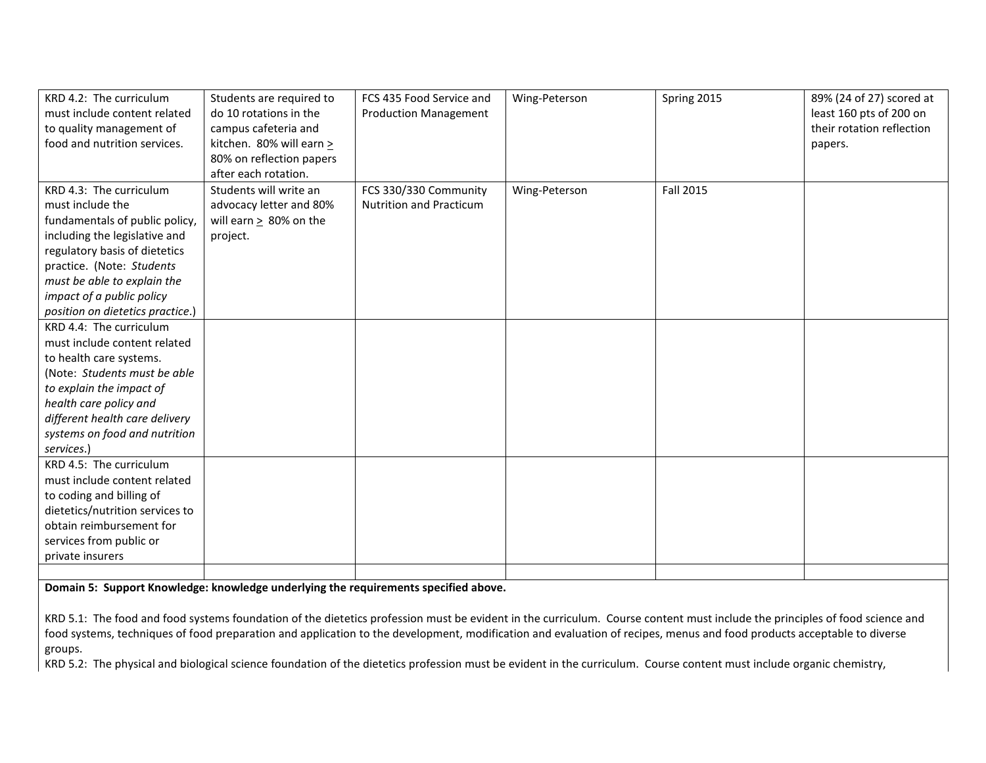| KRD 4.2: The curriculum          | Students are required to     | FCS 435 Food Service and       | Wing-Peterson | Spring 2015      | 89% (24 of 27) scored at  |
|----------------------------------|------------------------------|--------------------------------|---------------|------------------|---------------------------|
| must include content related     | do 10 rotations in the       | <b>Production Management</b>   |               |                  | least 160 pts of 200 on   |
| to quality management of         | campus cafeteria and         |                                |               |                  | their rotation reflection |
| food and nutrition services.     | kitchen. 80% will earn >     |                                |               |                  | papers.                   |
|                                  | 80% on reflection papers     |                                |               |                  |                           |
|                                  | after each rotation.         |                                |               |                  |                           |
| KRD 4.3: The curriculum          | Students will write an       | FCS 330/330 Community          | Wing-Peterson | <b>Fall 2015</b> |                           |
| must include the                 | advocacy letter and 80%      | <b>Nutrition and Practicum</b> |               |                  |                           |
| fundamentals of public policy,   | will earn $\geq 80\%$ on the |                                |               |                  |                           |
| including the legislative and    | project.                     |                                |               |                  |                           |
| regulatory basis of dietetics    |                              |                                |               |                  |                           |
| practice. (Note: Students        |                              |                                |               |                  |                           |
| must be able to explain the      |                              |                                |               |                  |                           |
| impact of a public policy        |                              |                                |               |                  |                           |
| position on dietetics practice.) |                              |                                |               |                  |                           |
| KRD 4.4: The curriculum          |                              |                                |               |                  |                           |
| must include content related     |                              |                                |               |                  |                           |
| to health care systems.          |                              |                                |               |                  |                           |
| (Note: Students must be able     |                              |                                |               |                  |                           |
| to explain the impact of         |                              |                                |               |                  |                           |
| health care policy and           |                              |                                |               |                  |                           |
| different health care delivery   |                              |                                |               |                  |                           |
| systems on food and nutrition    |                              |                                |               |                  |                           |
| services.)                       |                              |                                |               |                  |                           |
| KRD 4.5: The curriculum          |                              |                                |               |                  |                           |
| must include content related     |                              |                                |               |                  |                           |
| to coding and billing of         |                              |                                |               |                  |                           |
| dietetics/nutrition services to  |                              |                                |               |                  |                           |
| obtain reimbursement for         |                              |                                |               |                  |                           |
| services from public or          |                              |                                |               |                  |                           |
| private insurers                 |                              |                                |               |                  |                           |
|                                  |                              |                                |               |                  |                           |

**Domain 5: Support Knowledge: knowledge underlying the requirements specified above.**

KRD 5.1: The food and food systems foundation of the dietetics profession must be evident in the curriculum. Course content must include the principles of food science and food systems, techniques of food preparation and application to the development, modification and evaluation of recipes, menus and food products acceptable to diverse groups.

KRD 5.2: The physical and biological science foundation of the dietetics profession must be evident in the curriculum. Course content must include organic chemistry,